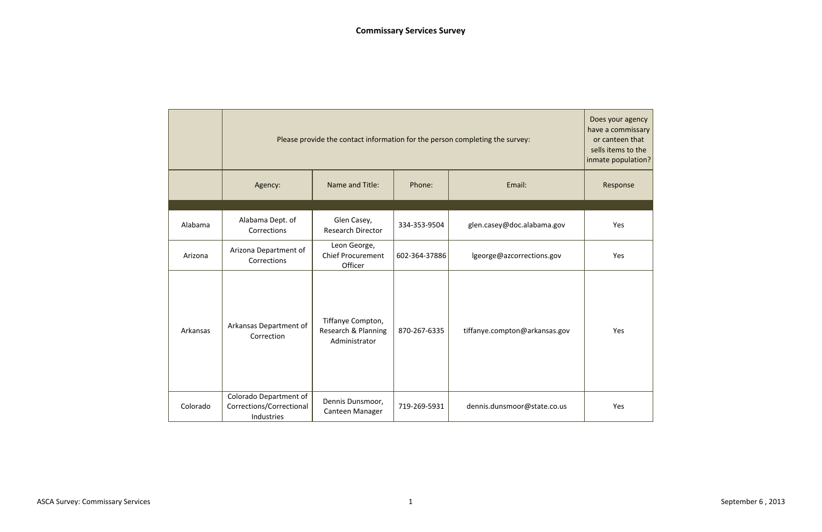

|          |                                                                  | Please provide the contact information for the person completing the survey: |               |                               |     |  |  |  |  |  |
|----------|------------------------------------------------------------------|------------------------------------------------------------------------------|---------------|-------------------------------|-----|--|--|--|--|--|
|          | Agency:                                                          | Email:                                                                       | Response      |                               |     |  |  |  |  |  |
|          |                                                                  |                                                                              |               |                               |     |  |  |  |  |  |
| Alabama  | Alabama Dept. of<br>Corrections                                  | Glen Casey,<br><b>Research Director</b>                                      | 334-353-9504  | glen.casey@doc.alabama.gov    | Yes |  |  |  |  |  |
| Arizona  | Arizona Department of<br>Corrections                             | Leon George,<br><b>Chief Procurement</b><br>Officer                          | 602-364-37886 | lgeorge@azcorrections.gov     | Yes |  |  |  |  |  |
| Arkansas | Arkansas Department of<br>Correction                             | Tiffanye Compton,<br>Research & Planning<br>Administrator                    | 870-267-6335  | tiffanye.compton@arkansas.gov | Yes |  |  |  |  |  |
| Colorado | Colorado Department of<br>Corrections/Correctional<br>Industries | Dennis Dunsmoor,<br>Canteen Manager                                          | 719-269-5931  | dennis.dunsmoor@state.co.us   | Yes |  |  |  |  |  |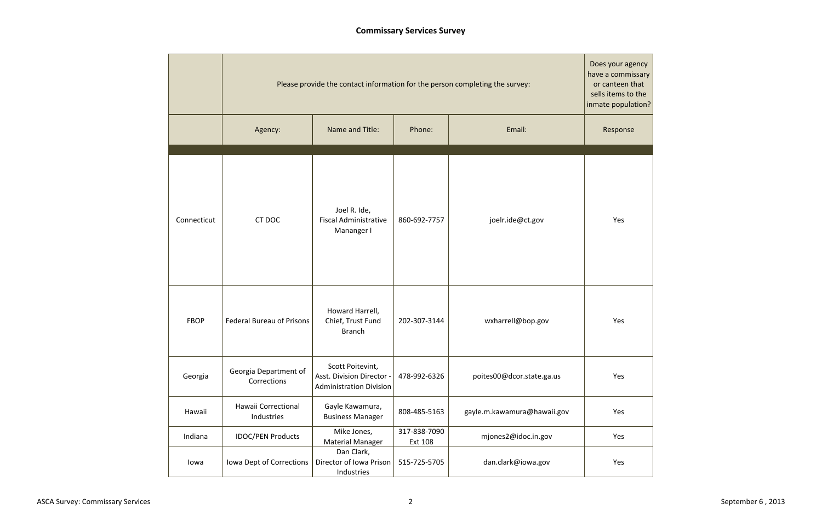

# **Commissary Services Survey**

|             |                                      |                                                                                 |                         | Please provide the contact information for the person completing the survey: | Does your age<br>have a commi:<br>or canteen tl<br>sells items to<br>inmate popula |
|-------------|--------------------------------------|---------------------------------------------------------------------------------|-------------------------|------------------------------------------------------------------------------|------------------------------------------------------------------------------------|
|             | Agency:                              | Name and Title:                                                                 | Phone:                  | Email:                                                                       | Response                                                                           |
| Connecticut | CT DOC                               | Joel R. Ide,<br><b>Fiscal Administrative</b><br>Mananger I                      | 860-692-7757            | joelr.ide@ct.gov                                                             | Yes                                                                                |
| <b>FBOP</b> | <b>Federal Bureau of Prisons</b>     | Howard Harrell,<br>Chief, Trust Fund<br><b>Branch</b>                           | 202-307-3144            | wxharrell@bop.gov                                                            | Yes                                                                                |
| Georgia     | Georgia Department of<br>Corrections | Scott Poitevint,<br>Asst. Division Director -<br><b>Administration Division</b> | 478-992-6326            | poites00@dcor.state.ga.us                                                    | Yes                                                                                |
| Hawaii      | Hawaii Correctional<br>Industries    | Gayle Kawamura,<br><b>Business Manager</b>                                      |                         | gayle.m.kawamura@hawaii.gov                                                  | Yes                                                                                |
| Indiana     | <b>IDOC/PEN Products</b>             | Mike Jones,<br>Material Manager                                                 | 317-838-7090<br>Ext 108 | mjones2@idoc.in.gov                                                          | Yes                                                                                |
| lowa        | Iowa Dept of Corrections             | Dan Clark,<br>Director of Iowa Prison<br>Industries                             | 515-725-5705            | dan.clark@iowa.gov                                                           | Yes                                                                                |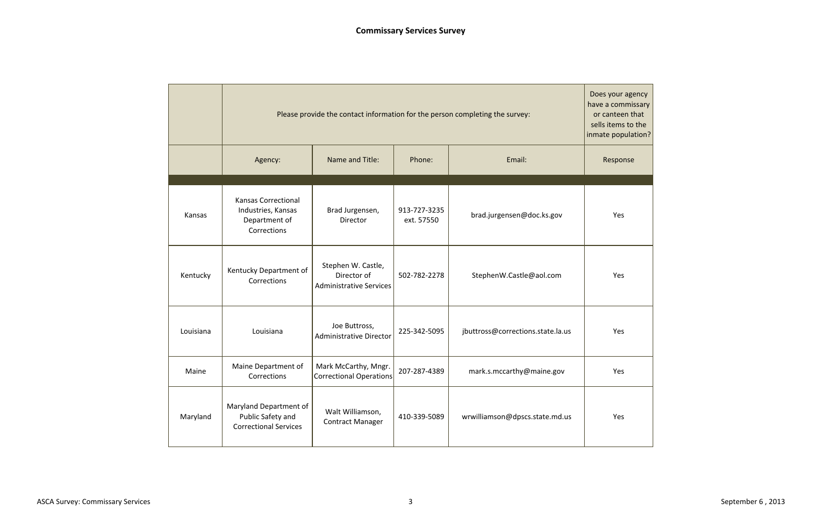

|           |                                                                                              | have a commi:<br>Please provide the contact information for the person completing the survey:<br>inmate popula |                            |                                   |     |  |  |  |  |  |  |  |
|-----------|----------------------------------------------------------------------------------------------|----------------------------------------------------------------------------------------------------------------|----------------------------|-----------------------------------|-----|--|--|--|--|--|--|--|
|           | Agency:                                                                                      | Name and Title:                                                                                                | Phone:                     | Response                          |     |  |  |  |  |  |  |  |
| Kansas    | <b>Kansas Correctional</b><br>Industries, Kansas<br>Department of<br>Corrections             | Brad Jurgensen,<br>Director                                                                                    | 913-727-3235<br>ext. 57550 | brad.jurgensen@doc.ks.gov         | Yes |  |  |  |  |  |  |  |
| Kentucky  | Kentucky Department of<br>Corrections                                                        | Stephen W. Castle,<br>Director of<br>502-782-2278<br><b>Administrative Services</b>                            |                            | StephenW.Castle@aol.com           | Yes |  |  |  |  |  |  |  |
| Louisiana | Louisiana                                                                                    | Joe Buttross,<br><b>Administrative Director</b>                                                                | 225-342-5095               | jbuttross@corrections.state.la.us | Yes |  |  |  |  |  |  |  |
| Maine     | Maine Department of<br>Mark McCarthy, Mngr.<br><b>Correctional Operations</b><br>Corrections |                                                                                                                | 207-287-4389               | mark.s.mccarthy@maine.gov         | Yes |  |  |  |  |  |  |  |
| Maryland  | Maryland Department of<br>Public Safety and<br><b>Correctional Services</b>                  | Walt Williamson,<br><b>Contract Manager</b>                                                                    | 410-339-5089               | wrwilliamson@dpscs.state.md.us    | Yes |  |  |  |  |  |  |  |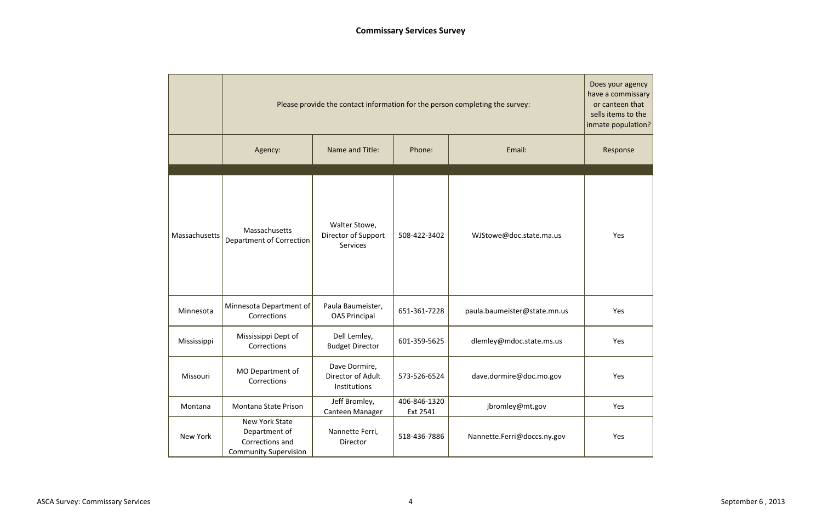

|               |                                                                                    |                                                    |                          | Please provide the contact information for the person completing the survey: | Does your age<br>have a commi:<br>or canteen t<br>sells items to<br>inmate popula |
|---------------|------------------------------------------------------------------------------------|----------------------------------------------------|--------------------------|------------------------------------------------------------------------------|-----------------------------------------------------------------------------------|
|               | Agency:                                                                            | Name and Title:                                    | Phone:                   | Email:                                                                       | Response                                                                          |
| Massachusetts | Massachusetts<br>Department of Correction                                          | Walter Stowe,<br>Director of Support<br>Services   |                          | WJStowe@doc.state.ma.us                                                      | Yes                                                                               |
| Minnesota     | Minnesota Department of<br>Corrections                                             | Paula Baumeister,<br><b>OAS Principal</b>          | 651-361-7228             | paula.baumeister@state.mn.us                                                 | Yes                                                                               |
| Mississippi   | Mississippi Dept of<br>Corrections                                                 | Dell Lemley,<br><b>Budget Director</b>             | 601-359-5625             | dlemley@mdoc.state.ms.us                                                     | Yes                                                                               |
| Missouri      | MO Department of<br>Corrections                                                    | Dave Dormire,<br>Director of Adult<br>Institutions | 573-526-6524             | dave.dormire@doc.mo.gov                                                      | Yes                                                                               |
| Montana       | Jeff Bromley,<br>Montana State Prison<br>Canteen Manager                           |                                                    | 406-846-1320<br>Ext 2541 | jbromley@mt.gov                                                              | Yes                                                                               |
| New York      | New York State<br>Department of<br>Corrections and<br><b>Community Supervision</b> | Nannette Ferri,<br>Director                        | 518-436-7886             | Nannette.Ferri@doccs.ny.gov                                                  | Yes                                                                               |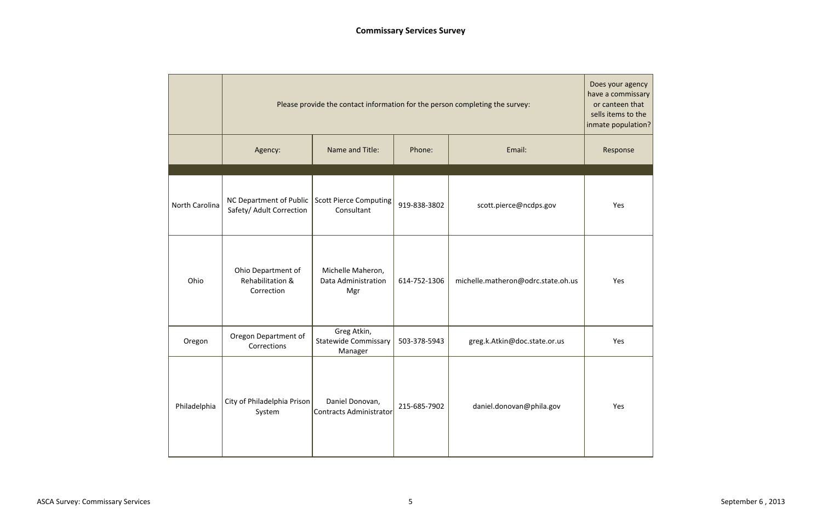

|                |                                                      |                                                       |              | Please provide the contact information for the person completing the survey: | Does your age<br>have a commi:<br>or canteen t<br>sells items to |
|----------------|------------------------------------------------------|-------------------------------------------------------|--------------|------------------------------------------------------------------------------|------------------------------------------------------------------|
|                | Agency:                                              | Name and Title:                                       | Phone:       | Email:                                                                       | inmate popula<br>Response                                        |
| North Carolina | NC Department of Public<br>Safety/ Adult Correction  | Scott Pierce Computing<br>Consultant                  | 919-838-3802 | scott.pierce@ncdps.gov                                                       | Yes                                                              |
| Ohio           | Ohio Department of<br>Rehabilitation &<br>Correction | Michelle Maheron,<br>Data Administration<br>Mgr       | 614-752-1306 | michelle.matheron@odrc.state.oh.us                                           | Yes                                                              |
| Oregon         | Oregon Department of<br>Corrections                  | Greg Atkin,<br><b>Statewide Commissary</b><br>Manager | 503-378-5943 | greg.k.Atkin@doc.state.or.us                                                 | Yes                                                              |
| Philadelphia   | City of Philadelphia Prison<br>System                | Daniel Donovan,<br>Contracts Administrator            | 215-685-7902 | daniel.donovan@phila.gov                                                     | Yes                                                              |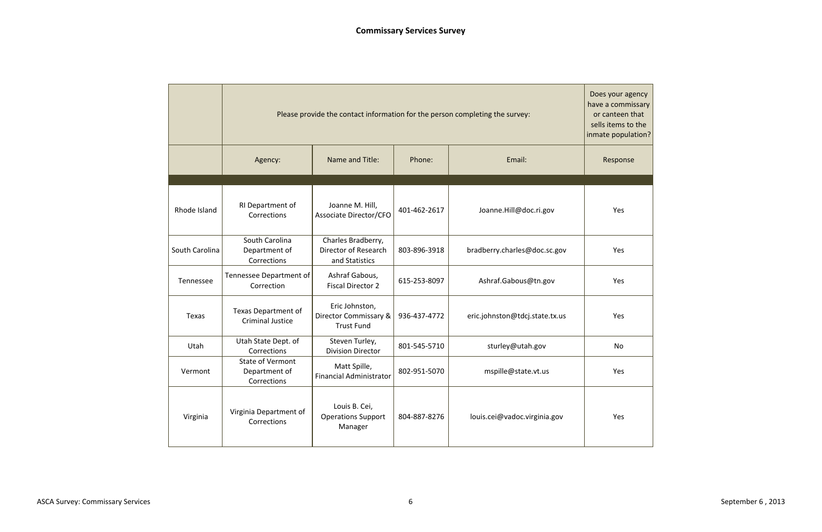

|                |                                                         | Please provide the contact information for the person completing the survey: |              |                                |          |  |  |  |  |  |  |
|----------------|---------------------------------------------------------|------------------------------------------------------------------------------|--------------|--------------------------------|----------|--|--|--|--|--|--|
|                | Agency:                                                 | Name and Title:                                                              | Phone:       | Email:                         | Response |  |  |  |  |  |  |
| Rhode Island   | RI Department of<br>Corrections                         | Joanne M. Hill,<br>Associate Director/CFO                                    | 401-462-2617 | Joanne.Hill@doc.ri.gov         | Yes      |  |  |  |  |  |  |
| South Carolina | South Carolina<br>Department of<br>Corrections          | Charles Bradberry,<br>Director of Research<br>and Statistics                 | 803-896-3918 | bradberry.charles@doc.sc.gov   | Yes      |  |  |  |  |  |  |
| Tennessee      | Tennessee Department of<br>Correction                   | Ashraf Gabous,<br><b>Fiscal Director 2</b>                                   | 615-253-8097 | Ashraf.Gabous@tn.gov           | Yes      |  |  |  |  |  |  |
| Texas          | Texas Department of<br><b>Criminal Justice</b>          | Eric Johnston,<br>Director Commissary &<br><b>Trust Fund</b>                 | 936-437-4772 | eric.johnston@tdcj.state.tx.us | Yes      |  |  |  |  |  |  |
| Utah           | Utah State Dept. of<br>Corrections                      | Steven Turley,<br><b>Division Director</b>                                   | 801-545-5710 | sturley@utah.gov               | No       |  |  |  |  |  |  |
| Vermont        | <b>State of Vermont</b><br>Department of<br>Corrections | Matt Spille,<br><b>Financial Administrator</b>                               | 802-951-5070 | mspille@state.vt.us            | Yes      |  |  |  |  |  |  |
| Virginia       | Virginia Department of<br>Corrections                   | Louis B. Cei,<br><b>Operations Support</b><br>Manager                        | 804-887-8276 | louis.cei@vadoc.virginia.gov   | Yes      |  |  |  |  |  |  |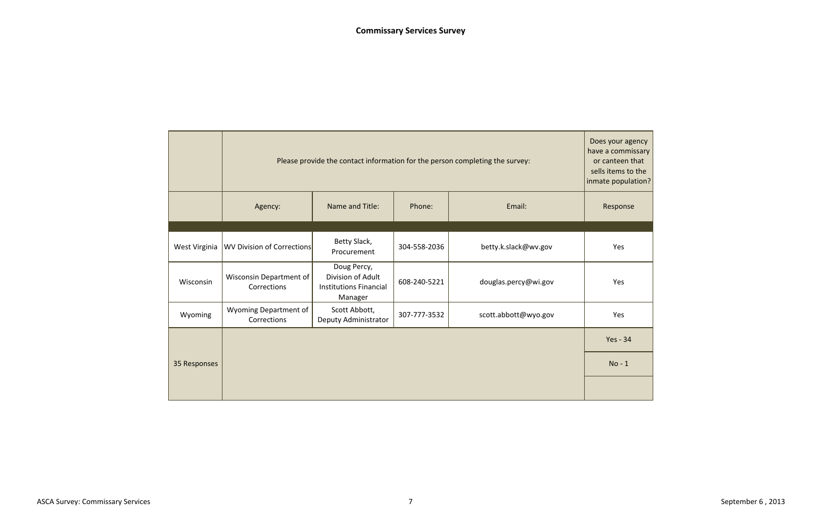

|               |                                        | Does your age<br>have a commi:<br>Please provide the contact information for the person completing the survey:<br>or canteen t<br>sells items to<br>inmate popula |              |                      |                 |  |  |  |  |  |  |
|---------------|----------------------------------------|-------------------------------------------------------------------------------------------------------------------------------------------------------------------|--------------|----------------------|-----------------|--|--|--|--|--|--|
|               | Agency:                                | Response                                                                                                                                                          |              |                      |                 |  |  |  |  |  |  |
|               |                                        |                                                                                                                                                                   |              |                      |                 |  |  |  |  |  |  |
| West Virginia | WV Division of Corrections             | Betty Slack,<br>Procurement                                                                                                                                       | 304-558-2036 | betty.k.slack@wv.gov | Yes             |  |  |  |  |  |  |
| Wisconsin     | Wisconsin Department of<br>Corrections | Doug Percy,<br>Division of Adult<br><b>Institutions Financial</b><br>Manager                                                                                      | 608-240-5221 | douglas.percy@wi.gov | Yes             |  |  |  |  |  |  |
| Wyoming       | Wyoming Department of<br>Corrections   | Scott Abbott,<br>Deputy Administrator                                                                                                                             | 307-777-3532 | scott.abbott@wyo.gov | Yes             |  |  |  |  |  |  |
|               |                                        |                                                                                                                                                                   |              |                      | <b>Yes - 34</b> |  |  |  |  |  |  |
| 35 Responses  |                                        |                                                                                                                                                                   |              |                      | $No - 1$        |  |  |  |  |  |  |
|               |                                        |                                                                                                                                                                   |              |                      |                 |  |  |  |  |  |  |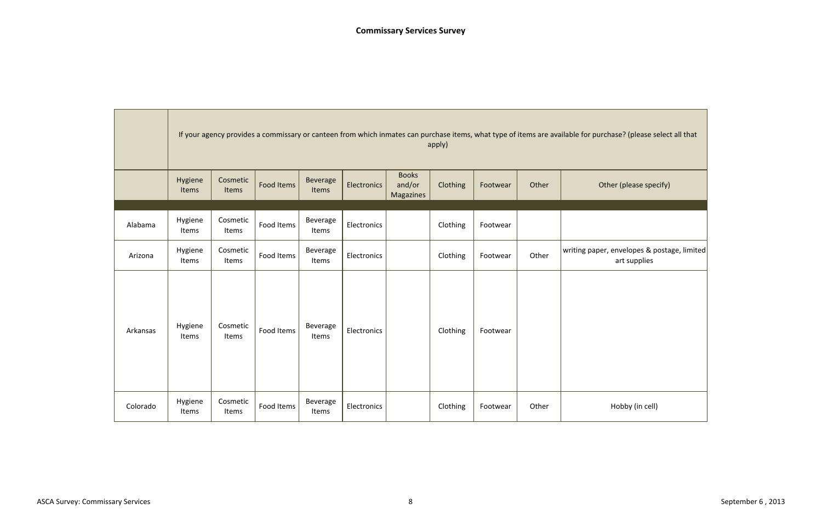|          |                  |                   | If your agency provides a commissary or canteen from which inmates can purchase items, what type of items are available for pur |                          |             |                                     | apply)   |          |       |              |
|----------|------------------|-------------------|---------------------------------------------------------------------------------------------------------------------------------|--------------------------|-------------|-------------------------------------|----------|----------|-------|--------------|
|          | Hygiene<br>Items | Cosmetic<br>Items | Food Items                                                                                                                      | <b>Beverage</b><br>Items | Electronics | <b>Books</b><br>and/or<br>Magazines | Clothing | Footwear | Other | $\circ$      |
| Alabama  | Hygiene<br>Items | Cosmetic<br>Items | Food Items                                                                                                                      | Beverage<br>Items        | Electronics |                                     | Clothing | Footwear |       |              |
| Arizona  | Hygiene<br>Items | Cosmetic<br>Items | Food Items                                                                                                                      | Beverage<br>Items        | Electronics |                                     | Clothing | Footwear | Other | writing pape |
| Arkansas | Hygiene<br>Items | Cosmetic<br>Items | Food Items                                                                                                                      | Beverage<br>Items        | Electronics |                                     | Clothing | Footwear |       |              |
| Colorado | Hygiene<br>Items | Cosmetic<br>Items | Food Items                                                                                                                      | Beverage<br>Items        | Electronics |                                     | Clothing | Footwear | Other |              |

**Contract Contract Contract** 

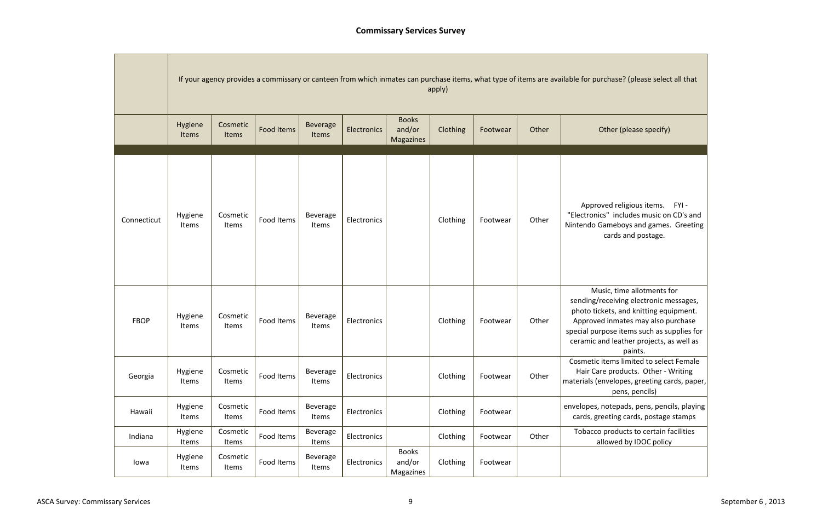usic, time allotments for receiving electronic messages, kets, and knitting equipment. d inmates may also purchase pose items such as supplies for nd leather projects, as well as paints.

items limited to select Female re products. Other - Writing mvelopes, greeting cards, paper, pens, pencils)

notepads, pens, pencils, playing eeting cards, postage stamps

Items in products to certain facilities llowed by IDOC policy

|             |                  |                   |                   |                          |             |                                            | apply)   |          |       | If your agency provides a commissary or canteen from which inmates can purchase items, what type of items are available for pur |
|-------------|------------------|-------------------|-------------------|--------------------------|-------------|--------------------------------------------|----------|----------|-------|---------------------------------------------------------------------------------------------------------------------------------|
|             | Hygiene<br>Items | Cosmetic<br>Items | <b>Food Items</b> | <b>Beverage</b><br>Items | Electronics | <b>Books</b><br>and/or<br><b>Magazines</b> | Clothing | Footwear | Other | 0                                                                                                                               |
| Connecticut | Hygiene<br>Items | Cosmetic<br>Items | Food Items        | Beverage<br>Items        | Electronics |                                            | Clothing | Footwear | Other | Approv<br>"Electronic<br>Nintendo Ga                                                                                            |
| <b>FBOP</b> | Hygiene<br>Items | Cosmetic<br>Items | Food Items        | Beverage<br>Items        | Electronics |                                            | Clothing | Footwear | Other | Mus<br>sending/re<br>photo tick<br>Approved<br>special purp<br>ceramic ar                                                       |
| Georgia     | Hygiene<br>Items | Cosmetic<br>Items | Food Items        | Beverage<br>Items        | Electronics |                                            | Clothing | Footwear | Other | Cosmetic i<br>Hair Car<br>materials (er                                                                                         |
| Hawaii      | Hygiene<br>Items | Cosmetic<br>Items | Food Items        | Beverage<br>Items        | Electronics |                                            | Clothing | Footwear |       | envelopes, r<br>cards, gre                                                                                                      |
| Indiana     | Hygiene<br>Items | Cosmetic<br>Items | Food Items        | Beverage<br>Items        | Electronics |                                            | Clothing | Footwear | Other | Tobacco<br>all                                                                                                                  |
| lowa        | Hygiene<br>Items | Cosmetic<br>Items | Food Items        | Beverage<br>Items        | Electronics | <b>Books</b><br>and/or<br>Magazines        | Clothing | Footwear |       |                                                                                                                                 |

rchase? (please select all that

# Other (please specify)

ved religious items. FYI cs" includes music on CD's and Gameboys and games. Greeting cards and postage.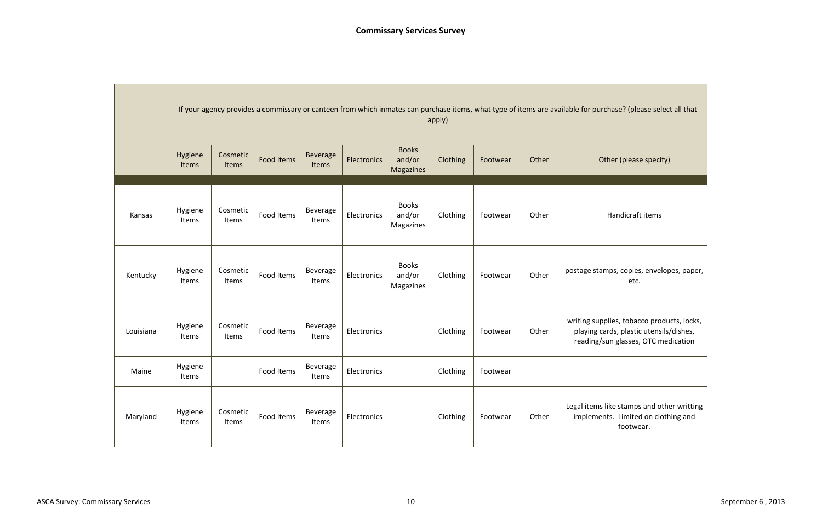|           |                  |                   | If your agency provides a commissary or canteen from which inmates can purchase items, what type of items are available for pur |                          |             |                                            | apply)   |          |       |                                      |
|-----------|------------------|-------------------|---------------------------------------------------------------------------------------------------------------------------------|--------------------------|-------------|--------------------------------------------|----------|----------|-------|--------------------------------------|
|           | Hygiene<br>Items | Cosmetic<br>Items | <b>Food Items</b>                                                                                                               | <b>Beverage</b><br>Items | Electronics | <b>Books</b><br>and/or<br><b>Magazines</b> | Clothing | Footwear | Other | $\mathsf{C}$                         |
| Kansas    | Hygiene<br>Items | Cosmetic<br>Items | Food Items                                                                                                                      | Beverage<br>Items        | Electronics | <b>Books</b><br>and/or<br>Magazines        | Clothing | Footwear | Other |                                      |
| Kentucky  | Hygiene<br>Items | Cosmetic<br>Items | Food Items                                                                                                                      | Beverage<br>Items        | Electronics | <b>Books</b><br>and/or<br>Magazines        | Clothing | Footwear | Other | postage sta                          |
| Louisiana | Hygiene<br>Items | Cosmetic<br>Items | Food Items                                                                                                                      | Beverage<br>Items        | Electronics |                                            | Clothing | Footwear | Other | writing sup<br>playing c<br>reading/ |
| Maine     | Hygiene<br>Items |                   | Food Items                                                                                                                      | Beverage<br>Items        | Electronics |                                            | Clothing | Footwear |       |                                      |
| Maryland  | Hygiene<br>Items | Cosmetic<br>Items | Food Items                                                                                                                      | Beverage<br>Items        | Electronics |                                            | Clothing | Footwear | Other | Legal items<br>impleme               |

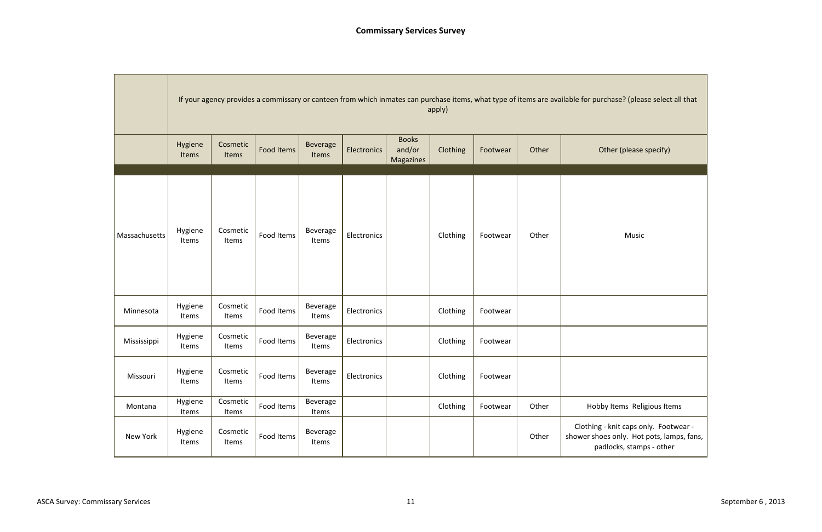|               |                  | If your agency provides a commissary or canteen from which inmates can purchase items, what type of items are available for purchase? (plea<br>apply) |                   |                          |                    |                                     |          |          |       |                                                                     |  |  |  |  |
|---------------|------------------|-------------------------------------------------------------------------------------------------------------------------------------------------------|-------------------|--------------------------|--------------------|-------------------------------------|----------|----------|-------|---------------------------------------------------------------------|--|--|--|--|
|               | Hygiene<br>Items | Cosmetic<br>Items                                                                                                                                     | <b>Food Items</b> | <b>Beverage</b><br>Items | <b>Electronics</b> | <b>Books</b><br>and/or<br>Magazines | Clothing | Footwear | Other | Other (please                                                       |  |  |  |  |
|               |                  |                                                                                                                                                       |                   |                          |                    |                                     |          |          |       |                                                                     |  |  |  |  |
| Massachusetts | Hygiene<br>Items | Cosmetic<br>Items                                                                                                                                     | Food Items        | Beverage<br>Items        | Electronics        |                                     | Clothing | Footwear | Other | Music                                                               |  |  |  |  |
| Minnesota     | Hygiene<br>Items | Cosmetic<br>Items                                                                                                                                     | Food Items        | Beverage<br>Items        | Electronics        |                                     | Clothing | Footwear |       |                                                                     |  |  |  |  |
| Mississippi   | Hygiene<br>Items | Cosmetic<br>Items                                                                                                                                     | Food Items        | Beverage<br>Items        | Electronics        |                                     | Clothing | Footwear |       |                                                                     |  |  |  |  |
| Missouri      | Hygiene<br>Items | Cosmetic<br>Items                                                                                                                                     | Food Items        | Beverage<br>Items        | Electronics        |                                     | Clothing | Footwear |       |                                                                     |  |  |  |  |
| Montana       | Hygiene<br>Items | Cosmetic<br>Items                                                                                                                                     | Food Items        | Beverage<br>Items        |                    |                                     | Clothing | Footwear | Other | Hobby Items Reli                                                    |  |  |  |  |
| New York      | Hygiene<br>Items | Cosmetic<br>Items                                                                                                                                     | Food Items        | Beverage<br>Items        |                    |                                     |          |          | Other | Clothing - knit caps or<br>shower shoes only. Hot<br>padlocks, stam |  |  |  |  |

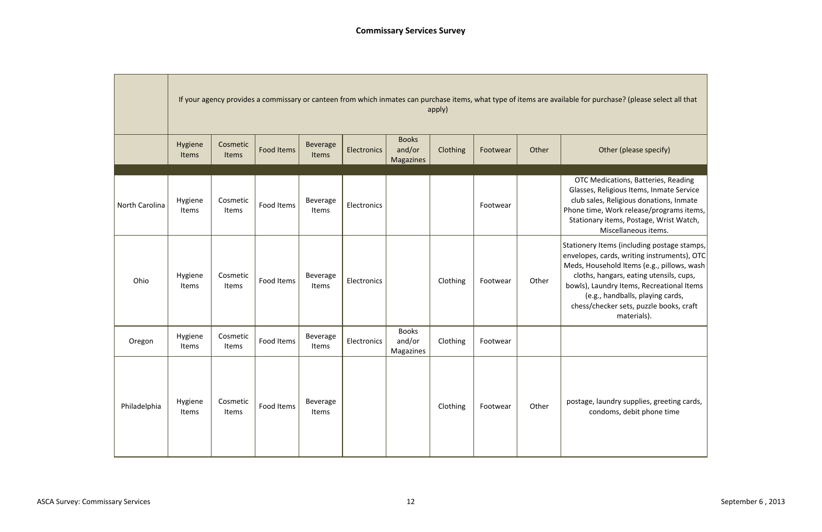tems (including postage stamps, cards, writing instruments), OTC sehold Items (e.g., pillows, wash angars, eating utensils, cups, andry Items, Recreational Items , handballs, playing cards, ecker sets, puzzle books, craft materials).

Items Clothing Cards, items Cards, items and the postage of  $g$ doms, debit phone time

|                |                  |                   | If your agency provides a commissary or canteen from which inmates can purchase items, what type of items are available for pur |                          |             |                                     | apply)   |          |       |                                                                                                  |
|----------------|------------------|-------------------|---------------------------------------------------------------------------------------------------------------------------------|--------------------------|-------------|-------------------------------------|----------|----------|-------|--------------------------------------------------------------------------------------------------|
|                | Hygiene<br>Items | Cosmetic<br>Items | <b>Food Items</b>                                                                                                               | <b>Beverage</b><br>Items | Electronics | <b>Books</b><br>and/or<br>Magazines | Clothing | Footwear | Other | $\circ$                                                                                          |
| North Carolina | Hygiene<br>Items | Cosmetic<br>Items | Food Items                                                                                                                      | Beverage<br>Items        | Electronics |                                     |          | Footwear |       | OTC Med<br>Glasses, Re<br>club sales,<br>Phone time,<br>Stationary<br>A                          |
| Ohio           | Hygiene<br>Items | Cosmetic<br>Items | Food Items                                                                                                                      | Beverage<br>Items        | Electronics |                                     | Clothing | Footwear | Other | Stationery It<br>envelopes, c<br>Meds, House<br>cloths, ha<br>bowls), Lau<br>(e.g.,<br>chess/che |
| Oregon         | Hygiene<br>Items | Cosmetic<br>Items | Food Items                                                                                                                      | Beverage<br>Items        | Electronics | <b>Books</b><br>and/or<br>Magazines | Clothing | Footwear |       |                                                                                                  |
| Philadelphia   | Hygiene<br>Items | Cosmetic<br>Items | Food Items                                                                                                                      | Beverage<br>Items        |             |                                     | Clothing | Footwear | Other | postage, la<br>cond                                                                              |

rchase? (please select all that

# Other (please specify)

dications, Batteries, Reading deligious Items, Inmate Service , Religious donations, Inmate , Work release/programs items, y items, Postage, Wrist Watch, Miscellaneous items.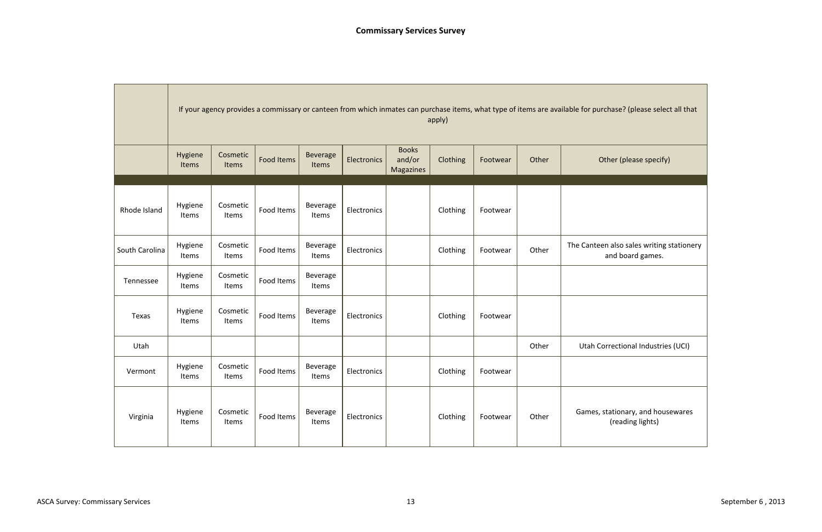|                |                  | If your agency provides a commissary or canteen from which inmates can purchase items, what type of items are available for pur<br>apply) |                   |                          |             |                                     |          |          |       |              |  |  |  |
|----------------|------------------|-------------------------------------------------------------------------------------------------------------------------------------------|-------------------|--------------------------|-------------|-------------------------------------|----------|----------|-------|--------------|--|--|--|
|                | Hygiene<br>Items | Cosmetic<br>Items                                                                                                                         | <b>Food Items</b> | <b>Beverage</b><br>Items | Electronics | <b>Books</b><br>and/or<br>Magazines | Clothing | Footwear | Other | $\mathsf{C}$ |  |  |  |
|                |                  |                                                                                                                                           |                   |                          |             |                                     |          |          |       |              |  |  |  |
| Rhode Island   | Hygiene<br>Items | Cosmetic<br>Items                                                                                                                         | Food Items        | Beverage<br>Items        | Electronics |                                     | Clothing | Footwear |       |              |  |  |  |
| South Carolina | Hygiene<br>Items | Cosmetic<br>Items                                                                                                                         | Food Items        | Beverage<br>Items        | Electronics |                                     | Clothing | Footwear | Other | The Cantee   |  |  |  |
| Tennessee      | Hygiene<br>Items | Cosmetic<br>Items                                                                                                                         | Food Items        | Beverage<br>Items        |             |                                     |          |          |       |              |  |  |  |
| Texas          | Hygiene<br>Items | Cosmetic<br>Items                                                                                                                         | Food Items        | Beverage<br>Items        | Electronics |                                     | Clothing | Footwear |       |              |  |  |  |
| Utah           |                  |                                                                                                                                           |                   |                          |             |                                     |          |          | Other | Utah Co      |  |  |  |
| Vermont        | Hygiene<br>Items | Cosmetic<br>Items                                                                                                                         | Food Items        | Beverage<br>Items        | Electronics |                                     | Clothing | Footwear |       |              |  |  |  |
| Virginia       | Hygiene<br>Items | Cosmetic<br>Items                                                                                                                         | Food Items        | Beverage<br>Items        | Electronics |                                     | Clothing | Footwear | Other | Games,       |  |  |  |



(reading lights)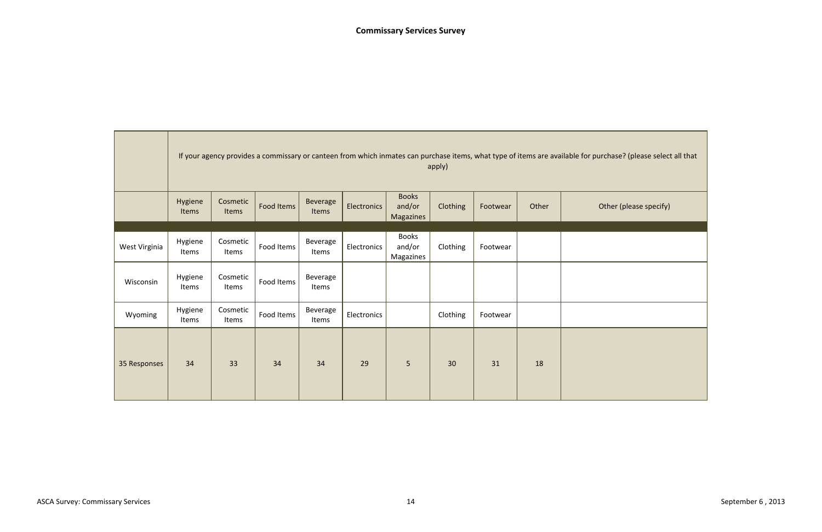

|               |                  | If your agency provides a commissary or canteen from which inmates can purchase items, what type of items are available for pur<br>apply) |            |                   |                    |                                            |          |          |       |  |  |  |  |
|---------------|------------------|-------------------------------------------------------------------------------------------------------------------------------------------|------------|-------------------|--------------------|--------------------------------------------|----------|----------|-------|--|--|--|--|
|               | Hygiene<br>Items | Cosmetic<br>Items                                                                                                                         | Food Items | Beverage<br>Items | <b>Electronics</b> | <b>Books</b><br>and/or<br><b>Magazines</b> | Clothing | Footwear | Other |  |  |  |  |
| West Virginia | Hygiene<br>Items | Cosmetic<br>Items                                                                                                                         | Food Items | Beverage<br>Items | Electronics        | <b>Books</b><br>and/or<br>Magazines        | Clothing | Footwear |       |  |  |  |  |
| Wisconsin     | Hygiene<br>Items | Cosmetic<br>Items                                                                                                                         | Food Items | Beverage<br>Items |                    |                                            |          |          |       |  |  |  |  |
| Wyoming       | Hygiene<br>Items | Cosmetic<br>Items                                                                                                                         | Food Items | Beverage<br>Items | Electronics        |                                            | Clothing | Footwear |       |  |  |  |  |
| 35 Responses  | 34               | 33                                                                                                                                        | 34         | 34                | 29                 | 5                                          | 30       | 31       | 18    |  |  |  |  |

**The Committee Committee Committee**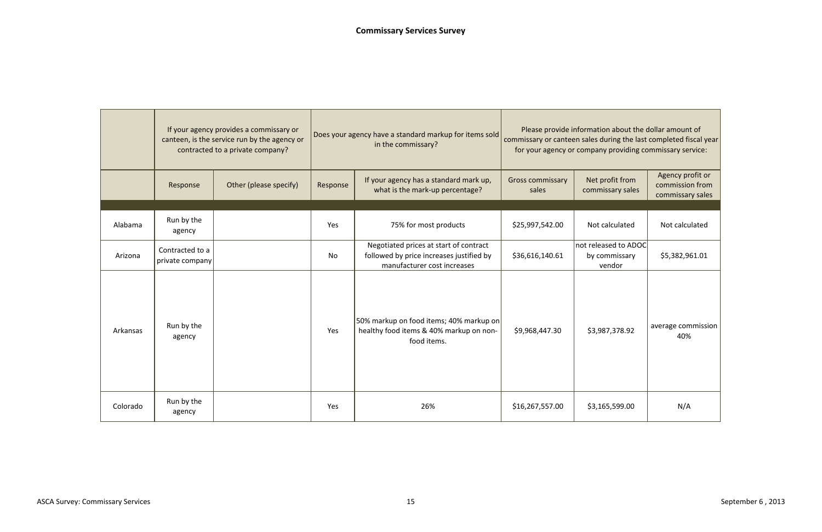|          | If your agency provides a commissary or<br>canteen, is the service run by the agency or<br>contracted to a private company? |                        |          | Does your agency have a standard markup for items sold<br>in the commissary?                                      | Please provide information about the dollar amount of<br>commissary or canteen sales during the last completed fiscal year<br>for your agency or company providing commissary service: |                                                 |                                                         |  |
|----------|-----------------------------------------------------------------------------------------------------------------------------|------------------------|----------|-------------------------------------------------------------------------------------------------------------------|----------------------------------------------------------------------------------------------------------------------------------------------------------------------------------------|-------------------------------------------------|---------------------------------------------------------|--|
|          | Response                                                                                                                    | Other (please specify) | Response | If your agency has a standard mark up,<br>what is the mark-up percentage?                                         | <b>Gross commissary</b><br>sales                                                                                                                                                       | Net profit from<br>commissary sales             | Agency profit or<br>commission from<br>commissary sales |  |
| Alabama  | Run by the<br>agency                                                                                                        |                        | Yes      | 75% for most products                                                                                             | \$25,997,542.00                                                                                                                                                                        | Not calculated                                  | Not calculated                                          |  |
| Arizona  | Contracted to a<br>private company                                                                                          |                        | No       | Negotiated prices at start of contract<br>followed by price increases justified by<br>manufacturer cost increases | \$36,616,140.61                                                                                                                                                                        | not released to ADOC<br>by commissary<br>vendor | \$5,382,961.01                                          |  |
| Arkansas | Run by the<br>agency                                                                                                        |                        | Yes      | 50% markup on food items; 40% markup on<br>healthy food items & 40% markup on non-<br>food items.                 | \$9,968,447.30                                                                                                                                                                         | \$3,987,378.92                                  | average commission<br>40%                               |  |
| Colorado | Run by the<br>agency                                                                                                        |                        | Yes      | 26%                                                                                                               | \$16,267,557.00                                                                                                                                                                        | \$3,165,599.00                                  | N/A                                                     |  |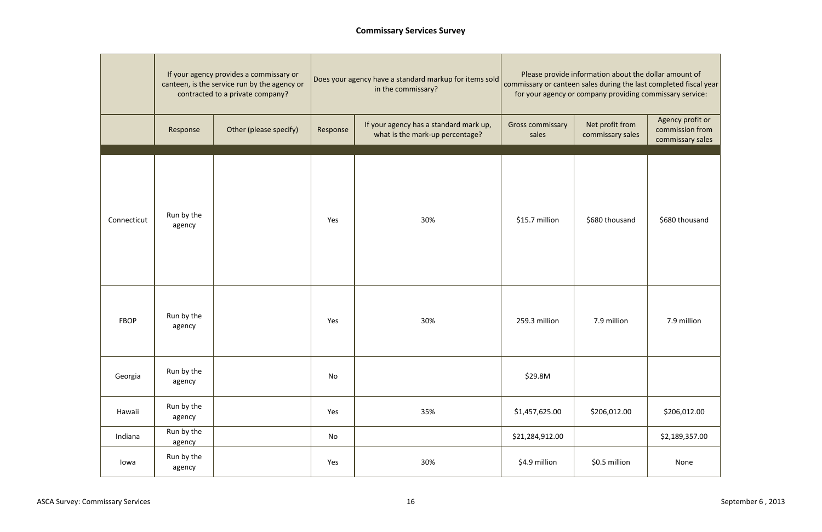|             | If your agency provides a commissary or<br>canteen, is the service run by the agency or<br>contracted to a private company? |                        |          | Does your agency have a standard markup for items sold<br>in the commissary? | Please provide information about the dollar amount of<br>commissary or canteen sales during the last completed fiscal year<br>for your agency or company providing commissary service: |                                     |                                                         |  |
|-------------|-----------------------------------------------------------------------------------------------------------------------------|------------------------|----------|------------------------------------------------------------------------------|----------------------------------------------------------------------------------------------------------------------------------------------------------------------------------------|-------------------------------------|---------------------------------------------------------|--|
|             | Response                                                                                                                    | Other (please specify) | Response | If your agency has a standard mark up,<br>what is the mark-up percentage?    | <b>Gross commissary</b><br>sales                                                                                                                                                       | Net profit from<br>commissary sales | Agency profit or<br>commission from<br>commissary sales |  |
| Connecticut | Run by the<br>agency                                                                                                        |                        | Yes      | 30%                                                                          | \$15.7 million                                                                                                                                                                         | \$680 thousand                      | \$680 thousand                                          |  |
| <b>FBOP</b> | Run by the<br>agency                                                                                                        |                        | Yes      | 30%                                                                          | 259.3 million                                                                                                                                                                          | 7.9 million                         | 7.9 million                                             |  |
| Georgia     | Run by the<br>agency                                                                                                        |                        | No       |                                                                              | \$29.8M                                                                                                                                                                                |                                     |                                                         |  |
| Hawaii      | Run by the<br>agency                                                                                                        |                        | Yes      | 35%                                                                          | \$1,457,625.00                                                                                                                                                                         | \$206,012.00                        | \$206,012.00                                            |  |
| Indiana     | Run by the<br>agency                                                                                                        |                        | No       |                                                                              | \$21,284,912.00                                                                                                                                                                        |                                     | \$2,189,357.00                                          |  |
| lowa        | Run by the<br>agency                                                                                                        |                        | Yes      | 30%                                                                          | \$4.9 million                                                                                                                                                                          | \$0.5 million                       | None                                                    |  |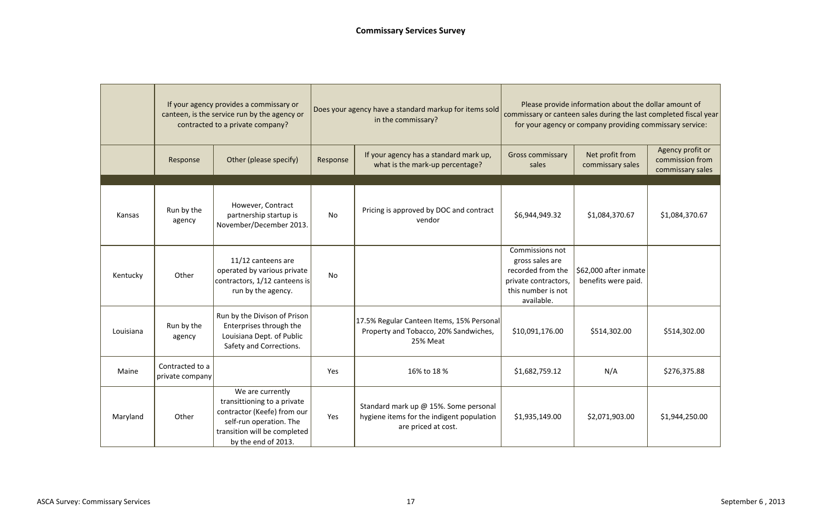|           | If your agency provides a commissary or<br>canteen, is the service run by the agency or<br>contracted to a private company? |                                                                                                                                                                  |          | Does your agency have a standard markup for items sold<br>in the commissary?                              | Please provide information about the dollar amount of<br>commissary or canteen sales during the last completed fiscal year<br>for your agency or company providing commissary service: |                                              |                                                         |  |
|-----------|-----------------------------------------------------------------------------------------------------------------------------|------------------------------------------------------------------------------------------------------------------------------------------------------------------|----------|-----------------------------------------------------------------------------------------------------------|----------------------------------------------------------------------------------------------------------------------------------------------------------------------------------------|----------------------------------------------|---------------------------------------------------------|--|
|           | Response                                                                                                                    | Other (please specify)                                                                                                                                           | Response | If your agency has a standard mark up,<br>what is the mark-up percentage?                                 | <b>Gross commissary</b><br>sales                                                                                                                                                       | Net profit from<br>commissary sales          | Agency profit or<br>commission from<br>commissary sales |  |
|           |                                                                                                                             |                                                                                                                                                                  |          |                                                                                                           |                                                                                                                                                                                        |                                              |                                                         |  |
| Kansas    | Run by the<br>agency                                                                                                        | However, Contract<br>partnership startup is<br>November/December 2013.                                                                                           | No       | Pricing is approved by DOC and contract<br>vendor                                                         | \$6,944,949.32                                                                                                                                                                         | \$1,084,370.67                               | \$1,084,370.67                                          |  |
| Kentucky  | Other                                                                                                                       | 11/12 canteens are<br>operated by various private<br>contractors, 1/12 canteens is<br>run by the agency.                                                         | No       |                                                                                                           | <b>Commissions not</b><br>gross sales are<br>recorded from the<br>private contractors,<br>this number is not<br>available.                                                             | \$62,000 after inmate<br>benefits were paid. |                                                         |  |
| Louisiana | Run by the<br>agency                                                                                                        | Run by the Divison of Prison<br>Enterprises through the<br>Louisiana Dept. of Public<br>Safety and Corrections.                                                  |          | 17.5% Regular Canteen Items, 15% Personal<br>Property and Tobacco, 20% Sandwiches,<br>25% Meat            | \$10,091,176.00                                                                                                                                                                        | \$514,302.00                                 | \$514,302.00                                            |  |
| Maine     | Contracted to a<br>private company                                                                                          |                                                                                                                                                                  | Yes      | 16% to 18 %                                                                                               | \$1,682,759.12                                                                                                                                                                         | N/A                                          | \$276,375.88                                            |  |
| Maryland  | Other                                                                                                                       | We are currently<br>transittioning to a private<br>contractor (Keefe) from our<br>self-run operation. The<br>transition will be completed<br>by the end of 2013. | Yes      | Standard mark up @ 15%. Some personal<br>hygiene items for the indigent population<br>are priced at cost. | \$1,935,149.00                                                                                                                                                                         | \$2,071,903.00                               | \$1,944,250.00                                          |  |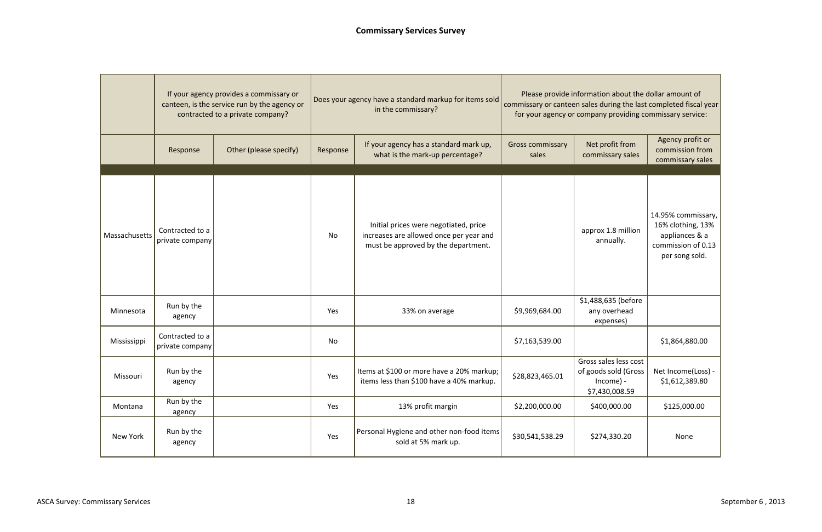|               | If your agency provides a commissary or<br>canteen, is the service run by the agency or<br>contracted to a private company? |                        |          | Does your agency have a standard markup for items sold<br>in the commissary?                                            | Please provide information about the dollar amount of<br>commissary or canteen sales during the last completed fiscal year<br>for your agency or company providing commissary service: |                                                                                 |                                                                                                   |  |
|---------------|-----------------------------------------------------------------------------------------------------------------------------|------------------------|----------|-------------------------------------------------------------------------------------------------------------------------|----------------------------------------------------------------------------------------------------------------------------------------------------------------------------------------|---------------------------------------------------------------------------------|---------------------------------------------------------------------------------------------------|--|
|               | Response                                                                                                                    | Other (please specify) | Response | If your agency has a standard mark up,<br>what is the mark-up percentage?                                               | <b>Gross commissary</b><br>sales                                                                                                                                                       | Net profit from<br>commissary sales                                             | Agency profit or<br>commission from<br>commissary sales                                           |  |
| Massachusetts | Contracted to a<br>private company                                                                                          |                        | No       | Initial prices were negotiated, price<br>increases are allowed once per year and<br>must be approved by the department. |                                                                                                                                                                                        | approx 1.8 million<br>annually.                                                 | 14.95% commissary,<br>16% clothing, 13%<br>appliances & a<br>commission of 0.13<br>per song sold. |  |
| Minnesota     | Run by the<br>agency                                                                                                        |                        | Yes      | 33% on average                                                                                                          | \$9,969,684.00                                                                                                                                                                         | \$1,488,635 (before<br>any overhead<br>expenses)                                |                                                                                                   |  |
| Mississippi   | Contracted to a<br>private company                                                                                          |                        | No       |                                                                                                                         | \$7,163,539.00                                                                                                                                                                         |                                                                                 | \$1,864,880.00                                                                                    |  |
| Missouri      | Run by the<br>agency                                                                                                        |                        | Yes      | Items at \$100 or more have a 20% markup;<br>items less than \$100 have a 40% markup.                                   | \$28,823,465.01                                                                                                                                                                        | Gross sales less cost<br>of goods sold (Gross<br>$Income$ ) -<br>\$7,430,008.59 | Net Income(Loss) -<br>\$1,612,389.80                                                              |  |
| Montana       | Run by the<br>agency                                                                                                        |                        | Yes      | 13% profit margin                                                                                                       | \$2,200,000.00                                                                                                                                                                         | \$400,000.00                                                                    | \$125,000.00                                                                                      |  |
| New York      | Run by the<br>agency                                                                                                        |                        | Yes      | Personal Hygiene and other non-food items<br>sold at 5% mark up.                                                        | \$30,541,538.29                                                                                                                                                                        | \$274,330.20                                                                    | None                                                                                              |  |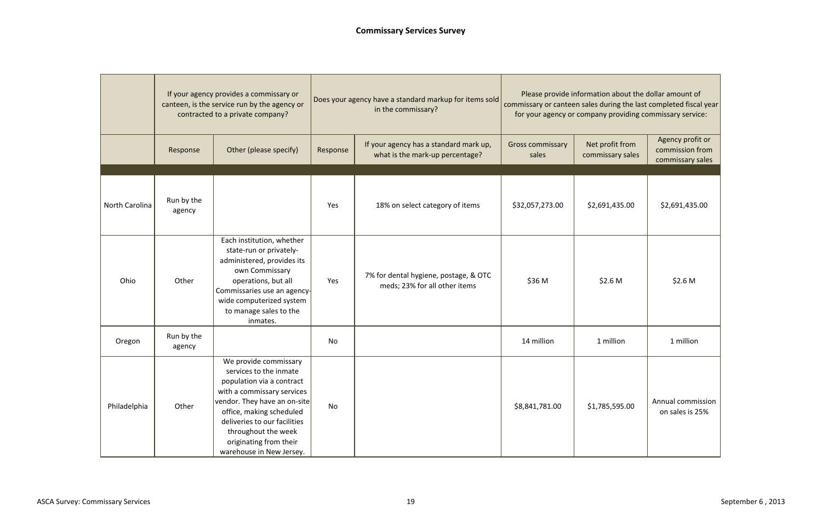|                | If your agency provides a commissary or<br>canteen, is the service run by the agency or<br>contracted to a private company? |                                                                                                                                                                                                                                                                                     |                                                                                       | Does your agency have a standard markup for items sold<br>in the commissary? | Please provide information about the dollar amount of<br>commissary or canteen sales during the last completed fiscal year<br>for your agency or company providing commissary service: |                                     |                                                         |  |
|----------------|-----------------------------------------------------------------------------------------------------------------------------|-------------------------------------------------------------------------------------------------------------------------------------------------------------------------------------------------------------------------------------------------------------------------------------|---------------------------------------------------------------------------------------|------------------------------------------------------------------------------|----------------------------------------------------------------------------------------------------------------------------------------------------------------------------------------|-------------------------------------|---------------------------------------------------------|--|
|                | Response                                                                                                                    | Other (please specify)                                                                                                                                                                                                                                                              | If your agency has a standard mark up,<br>Response<br>what is the mark-up percentage? |                                                                              | <b>Gross commissary</b><br>sales                                                                                                                                                       | Net profit from<br>commissary sales | Agency profit or<br>commission from<br>commissary sales |  |
| North Carolina | Run by the<br>agency                                                                                                        |                                                                                                                                                                                                                                                                                     | Yes                                                                                   | 18% on select category of items                                              | \$32,057,273.00                                                                                                                                                                        | \$2,691,435.00                      | \$2,691,435.00                                          |  |
| Ohio           | Other                                                                                                                       | Each institution, whether<br>state-run or privately-<br>administered, provides its<br>own Commissary<br>operations, but all<br>Commissaries use an agency-<br>wide computerized system<br>to manage sales to the<br>inmates.                                                        | Yes                                                                                   | 7% for dental hygiene, postage, & OTC<br>meds; 23% for all other items       | \$36 M                                                                                                                                                                                 | \$2.6 <sub>M</sub>                  | \$2.6 <sub>M</sub>                                      |  |
| Oregon         | Run by the<br>agency                                                                                                        |                                                                                                                                                                                                                                                                                     | No                                                                                    |                                                                              | 14 million                                                                                                                                                                             | 1 million                           | 1 million                                               |  |
| Philadelphia   | Other                                                                                                                       | We provide commissary<br>services to the inmate<br>population via a contract<br>with a commissary services<br>vendor. They have an on-site<br>office, making scheduled<br>deliveries to our facilities<br>throughout the week<br>originating from their<br>warehouse in New Jersey. | No                                                                                    |                                                                              | \$8,841,781.00                                                                                                                                                                         | \$1,785,595.00                      | Annual commission<br>on sales is 25%                    |  |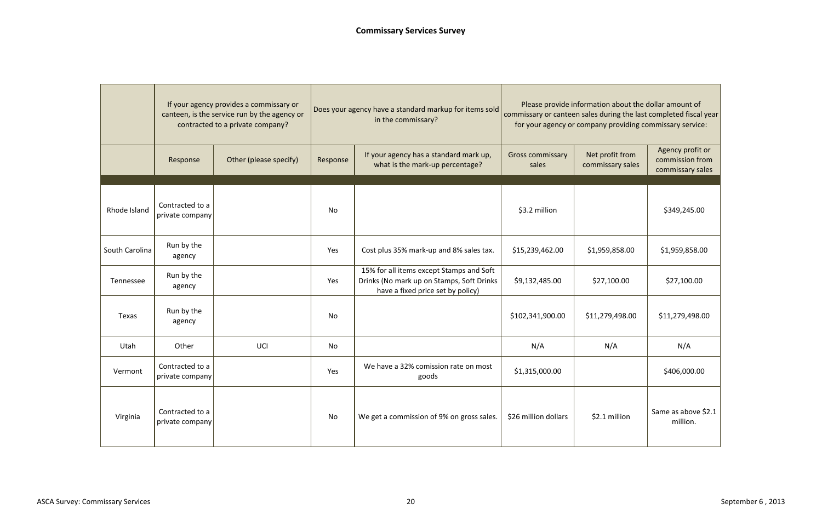|                | If your agency provides a commissary or<br>canteen, is the service run by the agency or<br>contracted to a private company? |                        |          | Does your agency have a standard markup for items sold<br>in the commissary?                                               | Please provide information about the dollar amount of<br>commissary or canteen sales during the last completed fiscal year<br>for your agency or company providing commissary service: |                                     |                                                         |  |
|----------------|-----------------------------------------------------------------------------------------------------------------------------|------------------------|----------|----------------------------------------------------------------------------------------------------------------------------|----------------------------------------------------------------------------------------------------------------------------------------------------------------------------------------|-------------------------------------|---------------------------------------------------------|--|
|                | Response                                                                                                                    | Other (please specify) | Response | If your agency has a standard mark up,<br><b>Gross commissary</b><br>what is the mark-up percentage?                       |                                                                                                                                                                                        | Net profit from<br>commissary sales | Agency profit or<br>commission from<br>commissary sales |  |
|                |                                                                                                                             |                        |          |                                                                                                                            |                                                                                                                                                                                        |                                     |                                                         |  |
| Rhode Island   | Contracted to a<br>private company                                                                                          |                        | No       |                                                                                                                            | \$3.2 million                                                                                                                                                                          |                                     | \$349,245.00                                            |  |
| South Carolina | Run by the<br>agency                                                                                                        |                        | Yes      | Cost plus 35% mark-up and 8% sales tax.                                                                                    | \$15,239,462.00                                                                                                                                                                        | \$1,959,858.00                      | \$1,959,858.00                                          |  |
| Tennessee      | Run by the<br>agency                                                                                                        |                        | Yes      | 15% for all items except Stamps and Soft<br>Drinks (No mark up on Stamps, Soft Drinks<br>have a fixed price set by policy) | \$9,132,485.00                                                                                                                                                                         | \$27,100.00                         | \$27,100.00                                             |  |
| Texas          | Run by the<br>agency                                                                                                        |                        | No       |                                                                                                                            | \$102,341,900.00                                                                                                                                                                       | \$11,279,498.00                     | \$11,279,498.00                                         |  |
| Utah           | Other                                                                                                                       | UCI                    | No       |                                                                                                                            | N/A                                                                                                                                                                                    | N/A                                 | N/A                                                     |  |
| Vermont        | Contracted to a<br>private company                                                                                          |                        | Yes      | We have a 32% comission rate on most<br>goods                                                                              | \$1,315,000.00                                                                                                                                                                         |                                     | \$406,000.00                                            |  |
| Virginia       | Contracted to a<br>private company                                                                                          |                        | No       | We get a commission of 9% on gross sales.                                                                                  | \$26 million dollars                                                                                                                                                                   | \$2.1 million                       | Same as above \$2.1<br>million.                         |  |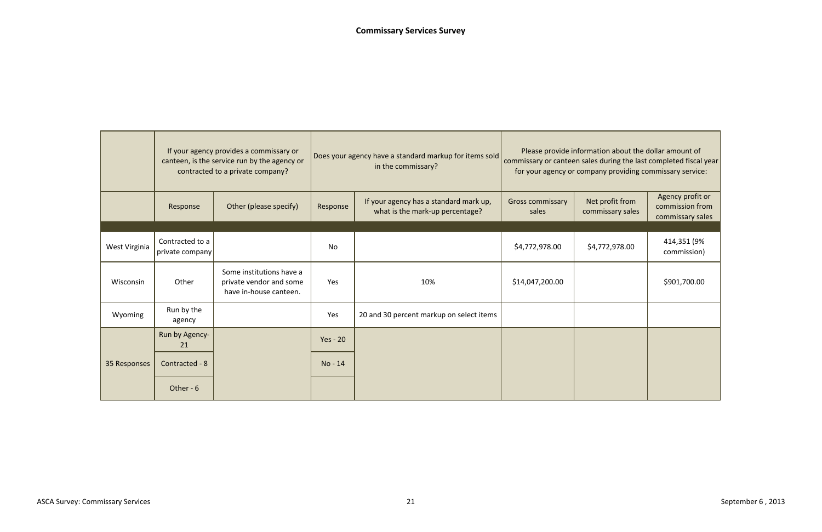|               | If your agency provides a commissary or<br>canteen, is the service run by the agency or<br>contracted to a private company? |                                                                               |                                                                                       | Does your agency have a standard markup for items sold<br>in the commissary? | Please provide information about the dollar amount of<br>commissary or canteen sales during the last completed fiscal year<br>for your agency or company providing commissary service: |                                     |                                                         |  |
|---------------|-----------------------------------------------------------------------------------------------------------------------------|-------------------------------------------------------------------------------|---------------------------------------------------------------------------------------|------------------------------------------------------------------------------|----------------------------------------------------------------------------------------------------------------------------------------------------------------------------------------|-------------------------------------|---------------------------------------------------------|--|
|               | Response                                                                                                                    | Other (please specify)                                                        | If your agency has a standard mark up,<br>Response<br>what is the mark-up percentage? |                                                                              | <b>Gross commissary</b><br>sales                                                                                                                                                       | Net profit from<br>commissary sales | Agency profit or<br>commission from<br>commissary sales |  |
|               |                                                                                                                             |                                                                               |                                                                                       |                                                                              |                                                                                                                                                                                        |                                     |                                                         |  |
| West Virginia | Contracted to a<br>private company                                                                                          |                                                                               | No                                                                                    |                                                                              | \$4,772,978.00                                                                                                                                                                         | \$4,772,978.00                      | 414,351 (9%<br>commission)                              |  |
| Wisconsin     | Other                                                                                                                       | Some institutions have a<br>private vendor and some<br>have in-house canteen. | Yes                                                                                   | 10%                                                                          | \$14,047,200.00                                                                                                                                                                        |                                     | \$901,700.00                                            |  |
| Wyoming       | Run by the<br>agency                                                                                                        |                                                                               | Yes                                                                                   | 20 and 30 percent markup on select items                                     |                                                                                                                                                                                        |                                     |                                                         |  |
|               | Run by Agency-<br>21                                                                                                        |                                                                               | $Yes - 20$                                                                            |                                                                              |                                                                                                                                                                                        |                                     |                                                         |  |
| 35 Responses  | Contracted - 8                                                                                                              |                                                                               | No - 14                                                                               |                                                                              |                                                                                                                                                                                        |                                     |                                                         |  |
|               | Other - 6                                                                                                                   |                                                                               |                                                                                       |                                                                              |                                                                                                                                                                                        |                                     |                                                         |  |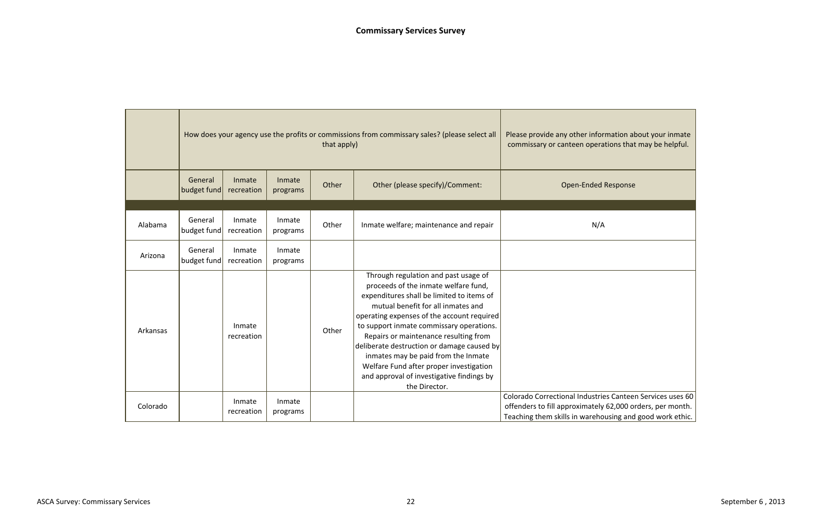|          |                        |                      | How does your agency use the profits or commissions from commissary sales? (please select all | that apply) | Please provide any other information about your inmate<br>commissary or canteen operations that may be helpful.                                                                                                                                                                                                                                                                                                                                                                                  |                                                                                                                                                                                    |
|----------|------------------------|----------------------|-----------------------------------------------------------------------------------------------|-------------|--------------------------------------------------------------------------------------------------------------------------------------------------------------------------------------------------------------------------------------------------------------------------------------------------------------------------------------------------------------------------------------------------------------------------------------------------------------------------------------------------|------------------------------------------------------------------------------------------------------------------------------------------------------------------------------------|
|          | General<br>budget fund | Inmate<br>recreation | Inmate<br>programs                                                                            | Other       | Other (please specify)/Comment:                                                                                                                                                                                                                                                                                                                                                                                                                                                                  | <b>Open-Ended Response</b>                                                                                                                                                         |
|          |                        |                      |                                                                                               |             |                                                                                                                                                                                                                                                                                                                                                                                                                                                                                                  |                                                                                                                                                                                    |
| Alabama  | General<br>budget fund | Inmate<br>recreation | Inmate<br>programs                                                                            | Other       | Inmate welfare; maintenance and repair                                                                                                                                                                                                                                                                                                                                                                                                                                                           | N/A                                                                                                                                                                                |
| Arizona  | General<br>budget fund | Inmate<br>recreation | Inmate<br>programs                                                                            |             |                                                                                                                                                                                                                                                                                                                                                                                                                                                                                                  |                                                                                                                                                                                    |
| Arkansas |                        | Inmate<br>recreation |                                                                                               | Other       | Through regulation and past usage of<br>proceeds of the inmate welfare fund,<br>expenditures shall be limited to items of<br>mutual benefit for all inmates and<br>operating expenses of the account required<br>to support inmate commissary operations.<br>Repairs or maintenance resulting from<br>deliberate destruction or damage caused by<br>inmates may be paid from the Inmate<br>Welfare Fund after proper investigation<br>and approval of investigative findings by<br>the Director. |                                                                                                                                                                                    |
| Colorado |                        | Inmate<br>recreation | Inmate<br>programs                                                                            |             |                                                                                                                                                                                                                                                                                                                                                                                                                                                                                                  | Colorado Correctional Industries Canteen Services uses 60<br>offenders to fill approximately 62,000 orders, per month.<br>Teaching them skills in warehousing and good work ethic. |

| rmation about your inmate<br>ations that may be helpful.   |
|------------------------------------------------------------|
| Response                                                   |
|                                                            |
| Д                                                          |
|                                                            |
|                                                            |
| ies Canteen Services uses 60                               |
| y 62,000 orders, per month.<br>ousing and good work ethic. |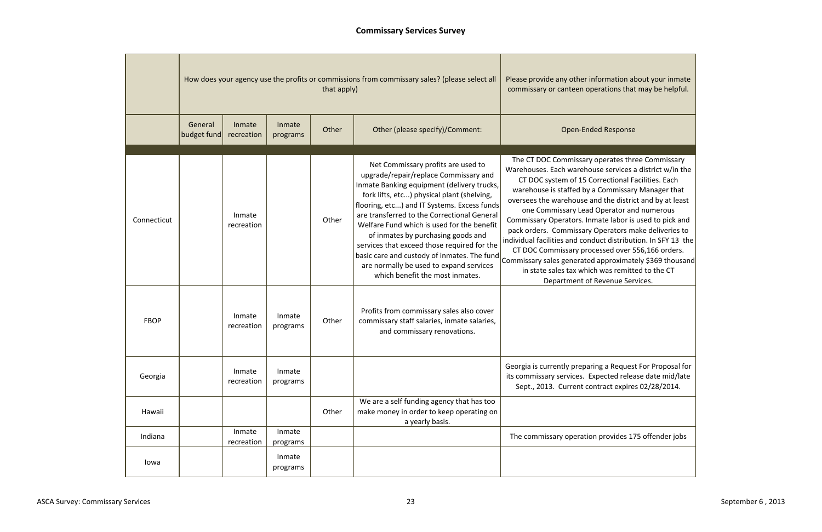|             |                        |                      | How does your agency use the profits or commissions from commissary sales? (please select all | Please provide any other information al<br>commissary or canteen operations that |                                                                                                                                                                                                                                                                                                                                                                                                                                                                                                                                       |                                                                                                                                                                                                                                                                                                                                                                                                                                                                                                                          |
|-------------|------------------------|----------------------|-----------------------------------------------------------------------------------------------|----------------------------------------------------------------------------------|---------------------------------------------------------------------------------------------------------------------------------------------------------------------------------------------------------------------------------------------------------------------------------------------------------------------------------------------------------------------------------------------------------------------------------------------------------------------------------------------------------------------------------------|--------------------------------------------------------------------------------------------------------------------------------------------------------------------------------------------------------------------------------------------------------------------------------------------------------------------------------------------------------------------------------------------------------------------------------------------------------------------------------------------------------------------------|
|             | General<br>budget fund | Inmate<br>recreation | Inmate<br>programs                                                                            | Other                                                                            | Other (please specify)/Comment:                                                                                                                                                                                                                                                                                                                                                                                                                                                                                                       | <b>Open-Ended Response</b>                                                                                                                                                                                                                                                                                                                                                                                                                                                                                               |
| Connecticut |                        | Inmate<br>recreation |                                                                                               | Other                                                                            | Net Commissary profits are used to<br>upgrade/repair/replace Commissary and<br>Inmate Banking equipment (delivery trucks,<br>fork lifts, etc) physical plant (shelving,<br>flooring, etc) and IT Systems. Excess funds<br>are transferred to the Correctional General<br>Welfare Fund which is used for the benefit<br>of inmates by purchasing goods and<br>services that exceed those required for the<br>basic care and custody of inmates. The fund<br>are normally be used to expand services<br>which benefit the most inmates. | The CT DOC Commissary operates thr<br>Warehouses. Each warehouse services a<br>CT DOC system of 15 Correctional F<br>warehouse is staffed by a Commissary<br>oversees the warehouse and the distric<br>one Commissary Lead Operator an<br>Commissary Operators. Inmate labor is<br>pack orders. Commissary Operators m<br>individual facilities and conduct distribut<br>CT DOC Commissary processed over 5<br>Commissary sales generated approximat<br>in state sales tax which was remitt<br>Department of Revenue Ser |
| <b>FBOP</b> |                        | Inmate<br>recreation | Inmate<br>programs                                                                            | Other                                                                            | Profits from commissary sales also cover<br>commissary staff salaries, inmate salaries,<br>and commissary renovations.                                                                                                                                                                                                                                                                                                                                                                                                                |                                                                                                                                                                                                                                                                                                                                                                                                                                                                                                                          |
| Georgia     |                        | Inmate<br>recreation | Inmate<br>programs                                                                            |                                                                                  |                                                                                                                                                                                                                                                                                                                                                                                                                                                                                                                                       | Georgia is currently preparing a Reques<br>its commissary services. Expected relea<br>Sept., 2013. Current contract expire                                                                                                                                                                                                                                                                                                                                                                                               |
| Hawaii      |                        |                      |                                                                                               | Other                                                                            | We are a self funding agency that has too<br>make money in order to keep operating on<br>a yearly basis.                                                                                                                                                                                                                                                                                                                                                                                                                              |                                                                                                                                                                                                                                                                                                                                                                                                                                                                                                                          |
| Indiana     |                        | Inmate<br>recreation | Inmate<br>programs                                                                            |                                                                                  |                                                                                                                                                                                                                                                                                                                                                                                                                                                                                                                                       | The commissary operation provides 17                                                                                                                                                                                                                                                                                                                                                                                                                                                                                     |
| lowa        |                        |                      | Inmate<br>programs                                                                            |                                                                                  |                                                                                                                                                                                                                                                                                                                                                                                                                                                                                                                                       |                                                                                                                                                                                                                                                                                                                                                                                                                                                                                                                          |

mation about your inmate ations that may be helpful.

erates three Commissary e services a district w/in the ectional Facilities. Each ommissary Manager that the district and by at least perator and numerous te labor is used to pick and perators make deliveries to t distribution. In SFY 13  $\,$  the  $|$ sed over 556,166 orders.  $p$ proximately \$369 thousand vas remitted to the CT venue Services.

ga Request For Proposal for ected release date mid/late act expires 02/28/2014.

rovides 175 offender jobs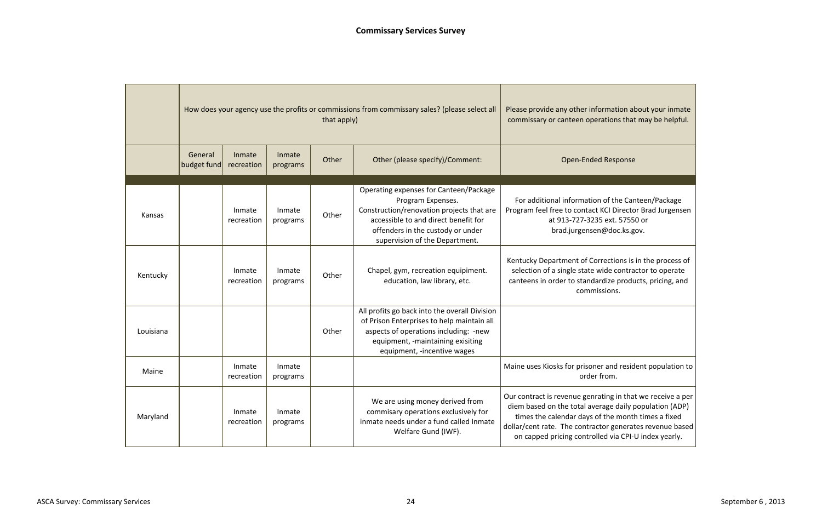|           | How does your agency use the profits or commissions from commissary sales? (please select all | Please provide any other infor<br>commissary or canteen opera |                    |       |                                                                                                                                                                                                                         |                                                                                                                                                               |
|-----------|-----------------------------------------------------------------------------------------------|---------------------------------------------------------------|--------------------|-------|-------------------------------------------------------------------------------------------------------------------------------------------------------------------------------------------------------------------------|---------------------------------------------------------------------------------------------------------------------------------------------------------------|
|           | General<br>budget fund                                                                        | Inmate<br>recreation                                          | Inmate<br>programs | Other | Other (please specify)/Comment:                                                                                                                                                                                         | Open-Ended                                                                                                                                                    |
|           |                                                                                               |                                                               |                    |       |                                                                                                                                                                                                                         |                                                                                                                                                               |
| Kansas    |                                                                                               | Inmate<br>recreation                                          | Inmate<br>programs | Other | Operating expenses for Canteen/Package<br>Program Expenses.<br>Construction/renovation projects that are<br>accessible to and direct benefit for<br>offenders in the custody or under<br>supervision of the Department. | For additional information<br>Program feel free to contact k<br>at 913-727-3235<br>brad.jurgensen(                                                            |
| Kentucky  |                                                                                               | Inmate<br>recreation                                          | Inmate<br>programs | Other | Chapel, gym, recreation equipiment.<br>education, law library, etc.                                                                                                                                                     | Kentucky Department of Corr<br>selection of a single state wi<br>canteens in order to standar<br>commis:                                                      |
| Louisiana |                                                                                               |                                                               |                    | Other | All profits go back into the overall Division<br>of Prison Enterprises to help maintain all<br>aspects of operations including: -new<br>equipment, -maintaining exisiting<br>equipment, -incentive wages                |                                                                                                                                                               |
| Maine     |                                                                                               | Inmate<br>recreation                                          | Inmate<br>programs |       |                                                                                                                                                                                                                         | Maine uses Kiosks for prisoner<br>order fr                                                                                                                    |
| Maryland  |                                                                                               | Inmate<br>recreation                                          | Inmate<br>programs |       | We are using money derived from<br>commisary operations exclusively for<br>inmate needs under a fund called Inmate<br>Welfare Gund (IWF).                                                                               | Our contract is revenue genrat<br>diem based on the total aver<br>times the calendar days of<br>dollar/cent rate. The contract<br>on capped pricing controlle |

rmation about your inmate ations that may be helpful.

### Response

of the Canteen/Package KCI Director Brad Jurgensen 5 ext. 57550 or @doc.ks.gov.

rections is in the process of vide contractor to operate dize products, pricing, and sions.

mand resident population to rom.

Iting in that we receive a per rage daily population (ADP) f the month times a fixed tor generates revenue based  $|$ ed via CPI-U index yearly.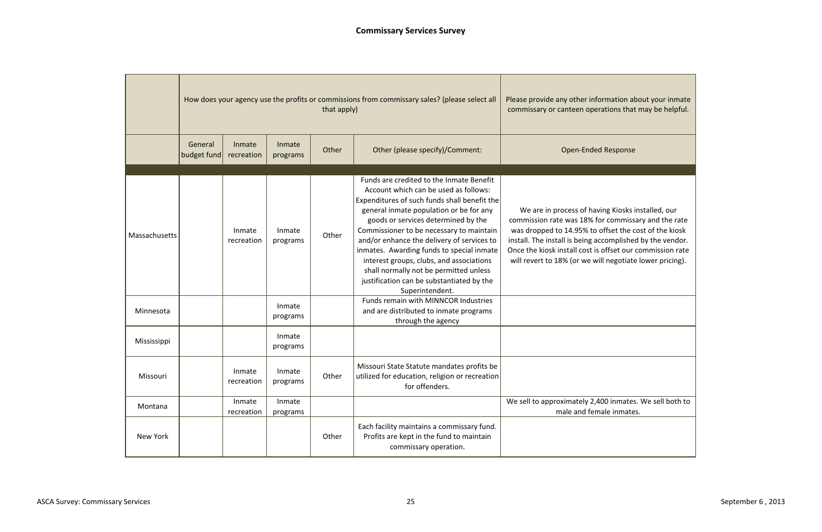|                            |                        | How does your agency use the profits or commissions from commissary sales? (please select all | Please provide any other infor<br>commissary or canteen opera |       |                                                                                                                                                                                                                                                                                                                                                                                                                                                                                                                                                                                                                          |                                                                                                                                                                                                     |
|----------------------------|------------------------|-----------------------------------------------------------------------------------------------|---------------------------------------------------------------|-------|--------------------------------------------------------------------------------------------------------------------------------------------------------------------------------------------------------------------------------------------------------------------------------------------------------------------------------------------------------------------------------------------------------------------------------------------------------------------------------------------------------------------------------------------------------------------------------------------------------------------------|-----------------------------------------------------------------------------------------------------------------------------------------------------------------------------------------------------|
|                            | General<br>budget fund | Inmate<br>recreation                                                                          | Inmate<br>programs                                            | Other | Other (please specify)/Comment:                                                                                                                                                                                                                                                                                                                                                                                                                                                                                                                                                                                          | Open-Ended                                                                                                                                                                                          |
| Massachusetts<br>Minnesota |                        | Inmate<br>recreation                                                                          | Inmate<br>programs<br>Inmate<br>programs                      | Other | Funds are credited to the Inmate Benefit<br>Account which can be used as follows:<br>Expenditures of such funds shall benefit the<br>general inmate population or be for any<br>goods or services determined by the<br>Commissioner to be necessary to maintain<br>and/or enhance the delivery of services to<br>inmates. Awarding funds to special inmate<br>interest groups, clubs, and associations<br>shall normally not be permitted unless<br>justification can be substantiated by the<br>Superintendent.<br>Funds remain with MINNCOR Industries<br>and are distributed to inmate programs<br>through the agency | We are in process of havir<br>commission rate was 18% for<br>was dropped to 14.95% to of<br>install. The install is being acc<br>Once the kiosk install cost is c<br>will revert to 18% (or we will |
| Mississippi                |                        |                                                                                               | Inmate<br>programs                                            |       |                                                                                                                                                                                                                                                                                                                                                                                                                                                                                                                                                                                                                          |                                                                                                                                                                                                     |
| Missouri                   |                        | Inmate<br>recreation                                                                          | Inmate<br>programs                                            | Other | Missouri State Statute mandates profits be<br>utilized for education, religion or recreation<br>for offenders.                                                                                                                                                                                                                                                                                                                                                                                                                                                                                                           |                                                                                                                                                                                                     |
| Montana                    |                        | Inmate<br>recreation                                                                          | Inmate<br>programs                                            |       |                                                                                                                                                                                                                                                                                                                                                                                                                                                                                                                                                                                                                          | We sell to approximately 2,40<br>male and fema                                                                                                                                                      |
| New York                   |                        |                                                                                               |                                                               | Other | Each facility maintains a commissary fund.<br>Profits are kept in the fund to maintain<br>commissary operation.                                                                                                                                                                                                                                                                                                                                                                                                                                                                                                          |                                                                                                                                                                                                     |

rmation about your inmate ations that may be helpful.

### Response

ing Kiosks installed, our commissary and the rate offset the cost of the kiosk complished by the vendor. offset our commission rate negotiate lower pricing).

00 inmates. We sell both to ale inmates.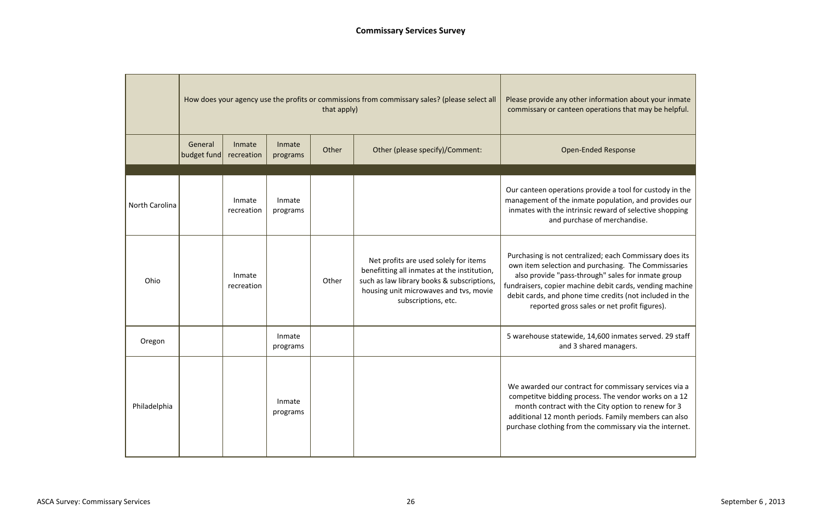|                |                        | How does your agency use the profits or commissions from commissary sales? (please select all | Please provide any other infor<br>commissary or canteen opera |       |                                                                                                                                                                                                     |                                                                                                                                                                                           |
|----------------|------------------------|-----------------------------------------------------------------------------------------------|---------------------------------------------------------------|-------|-----------------------------------------------------------------------------------------------------------------------------------------------------------------------------------------------------|-------------------------------------------------------------------------------------------------------------------------------------------------------------------------------------------|
|                | General<br>budget fund | Inmate<br>recreation                                                                          | Inmate<br>programs                                            | Other | Other (please specify)/Comment:                                                                                                                                                                     | Open-Ended                                                                                                                                                                                |
| North Carolina |                        | Inmate<br>recreation                                                                          | Inmate<br>programs                                            |       |                                                                                                                                                                                                     | Our canteen operations provi<br>management of the inmate po<br>inmates with the intrinsic rev<br>and purchase of                                                                          |
| Ohio           |                        | Inmate<br>recreation                                                                          |                                                               | Other | Net profits are used solely for items<br>benefitting all inmates at the institution,<br>such as law library books & subscriptions,<br>housing unit microwaves and tvs, movie<br>subscriptions, etc. | Purchasing is not centralized;<br>own item selection and purcl<br>also provide "pass-through<br>fundraisers, copier machine de<br>debit cards, and phone time o<br>reported gross sales o |
| Oregon         |                        |                                                                                               | Inmate<br>programs                                            |       |                                                                                                                                                                                                     | 5 warehouse statewide, 14,6<br>and 3 shared                                                                                                                                               |
| Philadelphia   |                        |                                                                                               | Inmate<br>programs                                            |       |                                                                                                                                                                                                     | We awarded our contract for<br>competitve bidding process.<br>month contract with the Ci<br>additional 12 month periods.<br>purchase clothing from the co                                 |

Prmation about your inmate ations that may be helpful.

### d Response

ide a tool for custody in the opulation, and provides our ward of selective shopping f merchandise.

; each Commissary does its chasing. The Commissaries n" sales for inmate group ebit cards, vending machine credits (not included in the or net profit figures).

600 inmates served. 29 staff managers.

r commissary services via a The vendor works on a 12 ity option to renew for  $3$ . Family members can also ommissary via the internet.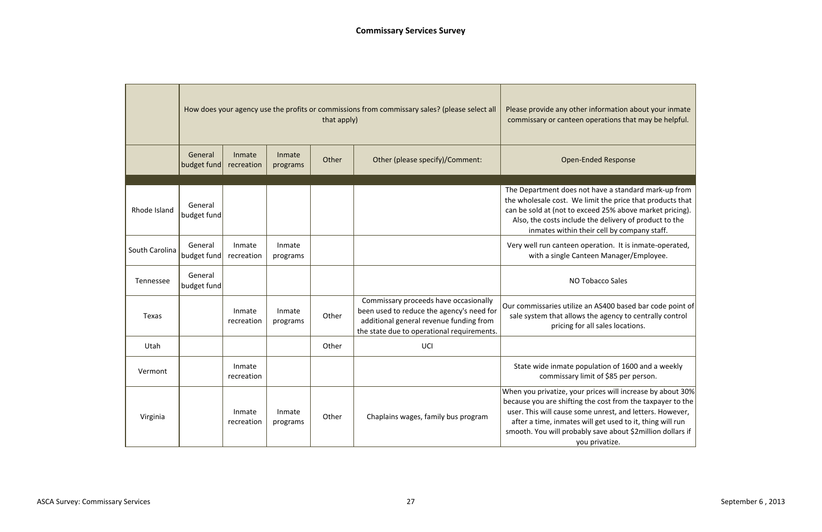|                |                        | How does your agency use the profits or commissions from commissary sales? (please select all | Please provide any other information<br>commissary or canteen operations tl |       |                                                                                                                                                                             |                                                                                                                                                                                                                               |
|----------------|------------------------|-----------------------------------------------------------------------------------------------|-----------------------------------------------------------------------------|-------|-----------------------------------------------------------------------------------------------------------------------------------------------------------------------------|-------------------------------------------------------------------------------------------------------------------------------------------------------------------------------------------------------------------------------|
|                | General<br>budget fund | Inmate<br>recreation                                                                          | Inmate<br>programs                                                          | Other | Other (please specify)/Comment:                                                                                                                                             | <b>Open-Ended Respor</b>                                                                                                                                                                                                      |
| Rhode Island   | General<br>budget fund |                                                                                               |                                                                             |       |                                                                                                                                                                             | The Department does not have a star<br>the wholesale cost. We limit the price<br>can be sold at (not to exceed 25% abo<br>Also, the costs include the delivery<br>inmates within their cell by co                             |
| South Carolina | General<br>budget fund | Inmate<br>recreation                                                                          | Inmate<br>programs                                                          |       |                                                                                                                                                                             | Very well run canteen operation. It i<br>with a single Canteen Manage                                                                                                                                                         |
| Tennessee      | General<br>budget fund |                                                                                               |                                                                             |       |                                                                                                                                                                             | NO Tobacco Sales                                                                                                                                                                                                              |
| Texas          |                        | Inmate<br>recreation                                                                          | Inmate<br>programs                                                          | Other | Commissary proceeds have occasionally<br>been used to reduce the agency's need for<br>additional general revenue funding from<br>the state due to operational requirements. | Our commissaries utilize an AS400 bas<br>sale system that allows the agency t<br>pricing for all sales loca                                                                                                                   |
| Utah           |                        |                                                                                               |                                                                             | Other | UCI                                                                                                                                                                         |                                                                                                                                                                                                                               |
| Vermont        |                        | Inmate<br>recreation                                                                          |                                                                             |       |                                                                                                                                                                             | State wide inmate population of 1<br>commissary limit of \$85 pe                                                                                                                                                              |
| Virginia       |                        | Inmate<br>recreation                                                                          | Inmate<br>programs                                                          | Other | Chaplains wages, family bus program                                                                                                                                         | When you privatize, your prices will in<br>because you are shifting the cost from<br>user. This will cause some unrest, an<br>after a time, inmates will get used t<br>smooth. You will probably save about<br>you privatize. |

rmation about your inmate ations that may be helpful.

### Response

ve a standard mark-up from the price that products that 125% above market pricing). delivery of product to the ell by company staff.

tion. It is inmate-operated, Manager/Employee.

S400 based bar code point of agency to centrally control ales locations.

 $\sin$  of 1600 and a weekly f \$85 per person.

 $\overline{e}$ s will increase by about 30%  $\cosh$  from the taxpayer to the  $\big\vert$ nrest, and letters. However, et used to it, thing will run ve about \$2million dollars if atize.